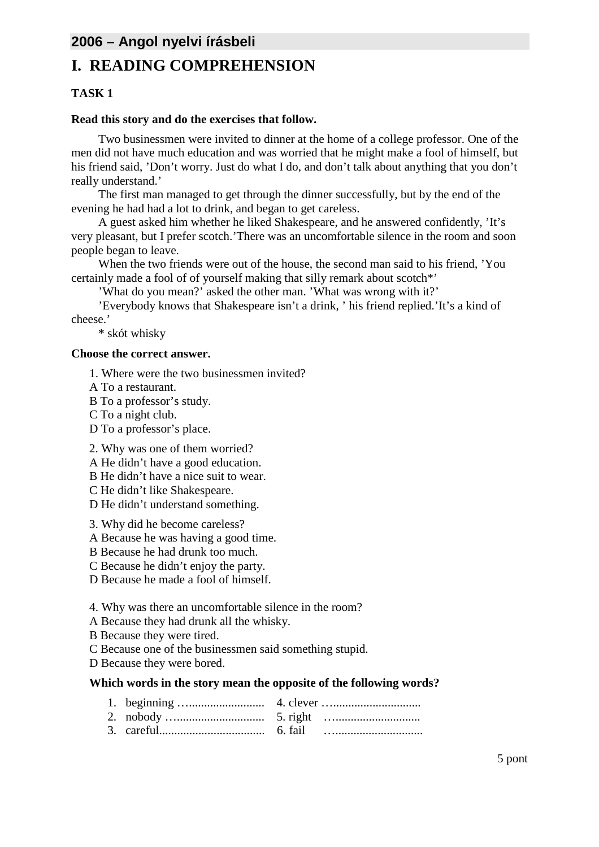## **2006 – Angol nyelvi írásbeli**

# **I. READING COMPREHENSION**

## **TASK 1**

### **Read this story and do the exercises that follow.**

Two businessmen were invited to dinner at the home of a college professor. One of the men did not have much education and was worried that he might make a fool of himself, but his friend said, 'Don't worry. Just do what I do, and don't talk about anything that you don't really understand.'

The first man managed to get through the dinner successfully, but by the end of the evening he had had a lot to drink, and began to get careless.

A guest asked him whether he liked Shakespeare, and he answered confidently, 'It's very pleasant, but I prefer scotch.'There was an uncomfortable silence in the room and soon people began to leave.

When the two friends were out of the house, the second man said to his friend, 'You certainly made a fool of of yourself making that silly remark about scotch\*'

'What do you mean?' asked the other man. 'What was wrong with it?'

'Everybody knows that Shakespeare isn't a drink, ' his friend replied.'It's a kind of cheese.'

\* skót whisky

#### **Choose the correct answer.**

1. Where were the two businessmen invited?

- A To a restaurant.
- B To a professor's study.
- C To a night club.
- D To a professor's place.
- 2. Why was one of them worried?
- A He didn't have a good education.
- B He didn't have a nice suit to wear.
- C He didn't like Shakespeare.
- D He didn't understand something.
- 3. Why did he become careless?
- A Because he was having a good time.
- B Because he had drunk too much.
- C Because he didn't enjoy the party.
- D Because he made a fool of himself.

4. Why was there an uncomfortable silence in the room?

- A Because they had drunk all the whisky.
- B Because they were tired.
- C Because one of the businessmen said something stupid.
- D Because they were bored.

#### **Which words in the story mean the opposite of the following words?**

- 1. beginning …......................... 4. clever ….............................
- 2. nobody …............................. 5. right …............................ 3. careful................................... 6. fail ….............................
-